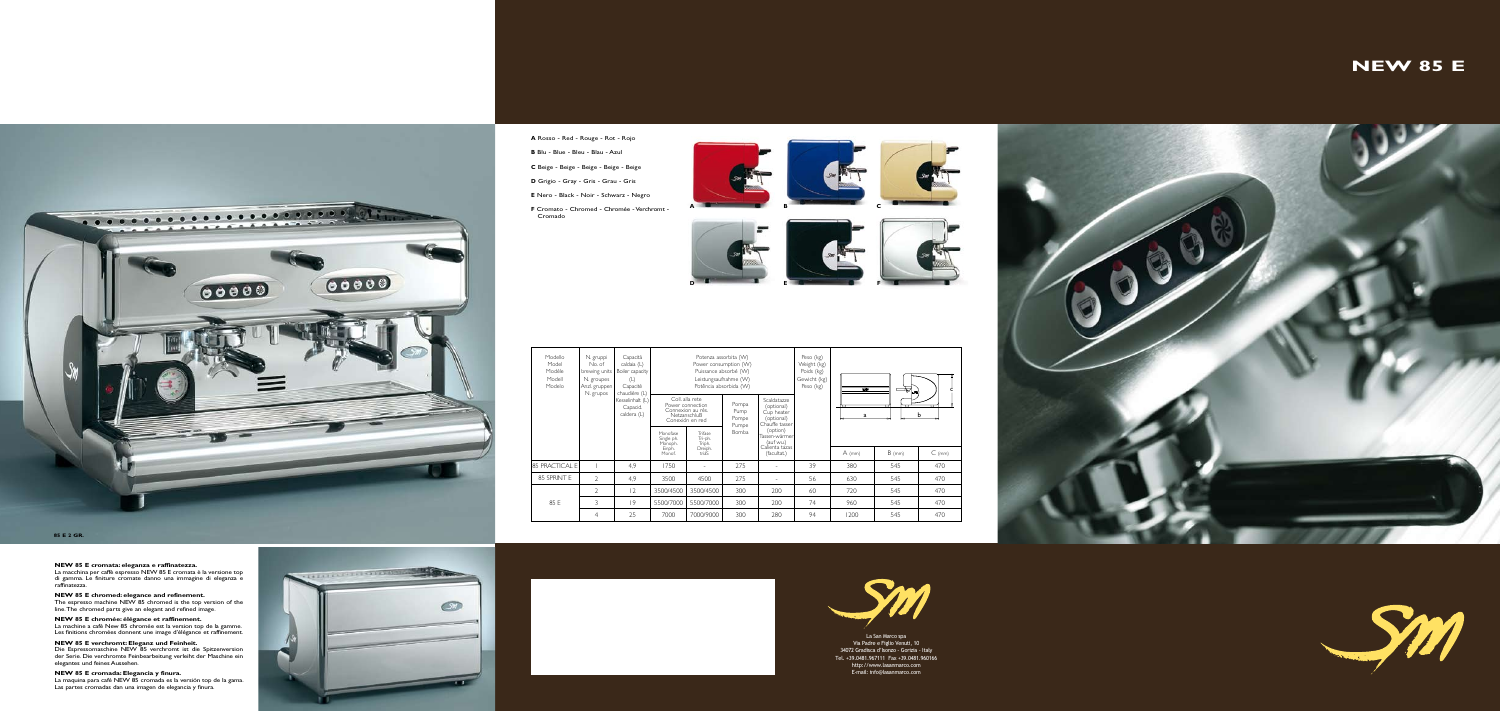La San Marco spa Via Padre e Figlio Venuti, 10 34072 Gradisca d'Isonzo - Gorizia - Italy Tel. +39.0481.967111 Fax +39.0481.960166 http://www.lasanmarco.com E-mail: info@lasanmarco.com



# **NEW 85 E**





**A** Rosso - Red - Rouge - Rot - Rojo

**B** Blu - Blue - Bleu - Blau - Azul

**C** Beige - Beige - Beige - Beige - Beige

**D** Grigio - Gray - Gris - Grau - Gris



**E** Nero - Black - Noir - Schwarz - Negro

**F** Cromato - Chromed - Chromée - Verchromt - Cromado

#### **NEW 85 E chromée: élégance et raffinement.**  La machine a café New 85 chromée est la version top de la gamme. Les finitions chromées donnent une image d'élégance et raffinement.

| Modello<br>Model<br>Modèle<br>Modell<br>Modelo | N. gruppi<br>No. of<br>brewing units<br>N. groupes<br>Anzl. gruppen<br>N. grupos | Capacità<br>caldaia (L)<br>Boiler capacity<br>(L)<br>Capacitè<br>chaudière (L)<br>Kesselinhalt (L)<br>Capacid.<br>caldera (L) | Potenza assorbita (W)<br>Power consumption (W)<br>Puissance absorbé (W)<br>Leistungsaufnahme (W)<br>Potência absorbida (W) |                                                  |                                 |
|------------------------------------------------|----------------------------------------------------------------------------------|-------------------------------------------------------------------------------------------------------------------------------|----------------------------------------------------------------------------------------------------------------------------|--------------------------------------------------|---------------------------------|
|                                                |                                                                                  |                                                                                                                               | Coll, alla rete<br>Power connection<br>Connexion au rès.<br>NetzanschluB<br>Conexión en red                                |                                                  | Pompa<br>Pump<br>Pompe<br>Pumpe |
|                                                |                                                                                  |                                                                                                                               | Monofase<br>Single ph.<br>Monoph.<br>Einph.<br>Monof.                                                                      | Trifase<br>Tri-ph.<br>Triph.<br>Dreiph.<br>triáS | Bomba                           |
| 85 PRACTICAL E                                 |                                                                                  | 4,9                                                                                                                           | 1750                                                                                                                       |                                                  | 275                             |
| 85 SPRINT E                                    | $\mathfrak{D}$                                                                   | 4.9                                                                                                                           | 3500                                                                                                                       | 4500                                             | 275                             |
| 85 E                                           | $\mathcal{D}$                                                                    | $\overline{2}$                                                                                                                | 3500/4500                                                                                                                  | 3500/4500                                        | 300                             |
|                                                | 3                                                                                | 9                                                                                                                             | 5500/7000                                                                                                                  | 5500/7000                                        | 300                             |
|                                                | $\overline{4}$                                                                   | 25                                                                                                                            | 7000                                                                                                                       | 7000/9000                                        | 300                             |
|                                                |                                                                                  |                                                                                                                               |                                                                                                                            |                                                  |                                 |

- - 200 200 280



# **NEW 85 E cromata: eleganza e raffinatezza.**

La macchina per caffè espresso NEW 85 E cromata è la versione top di gamma. Le finiture cromate danno una immagine di eleganza e raffinatezza.

#### **NEW 85 E chromed: elegance and refinement.**

The espresso machine NEW 85 chromed is the top version of the line. The chromed parts give an elegant and refined image.

**NEW 85 E verchromt: Eleganz und Feinheit.** Die Espressomaschine NEW 85 verchromt ist die Spitzenversion der Serie. Die verchromte Feinbearbeitung verleiht der Maschine ein elegantes und feines Aussehen.

**NEW 85 E cromada: Elegancia y finura.** 

La maquina para café NEW 85 cromada es la versión top de la gama. Las partes cromadas dan una imagen de elegancia y finura.

territorial de Bas **BALLARY COMPOSITION**  $\circ$ 



**85 E 2 GR.**